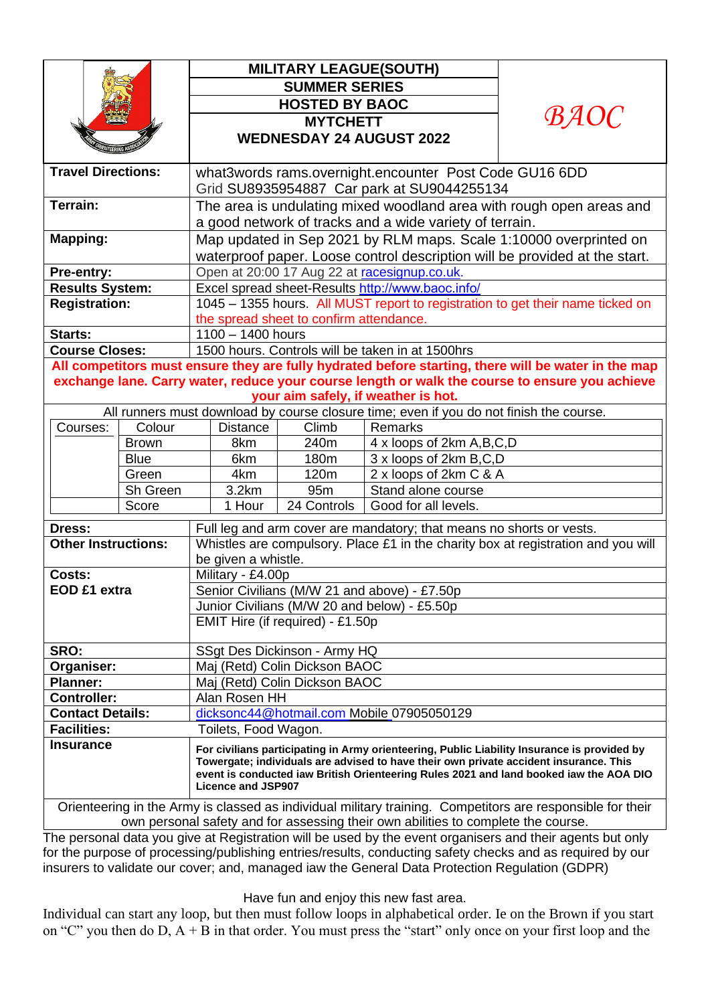|                                                                                                | <b>MILITARY LEAGUE(SOUTH)</b>                                                                                                                                                                                                                                                  |
|------------------------------------------------------------------------------------------------|--------------------------------------------------------------------------------------------------------------------------------------------------------------------------------------------------------------------------------------------------------------------------------|
|                                                                                                | <b>SUMMER SERIES</b>                                                                                                                                                                                                                                                           |
|                                                                                                | <b>HOSTED BY BAOC</b>                                                                                                                                                                                                                                                          |
|                                                                                                | <b>BAOC</b><br><b>MYTCHETT</b>                                                                                                                                                                                                                                                 |
|                                                                                                | <b>WEDNESDAY 24 AUGUST 2022</b>                                                                                                                                                                                                                                                |
|                                                                                                |                                                                                                                                                                                                                                                                                |
| <b>Travel Directions:</b>                                                                      | what3words rams.overnight.encounter Post Code GU16 6DD                                                                                                                                                                                                                         |
|                                                                                                | Grid SU8935954887 Car park at SU9044255134                                                                                                                                                                                                                                     |
| Terrain:                                                                                       | The area is undulating mixed woodland area with rough open areas and                                                                                                                                                                                                           |
|                                                                                                | a good network of tracks and a wide variety of terrain.                                                                                                                                                                                                                        |
| <b>Mapping:</b>                                                                                | Map updated in Sep 2021 by RLM maps. Scale 1:10000 overprinted on                                                                                                                                                                                                              |
|                                                                                                | waterproof paper. Loose control description will be provided at the start.                                                                                                                                                                                                     |
| Pre-entry:                                                                                     | Open at 20:00 17 Aug 22 at racesignup.co.uk.                                                                                                                                                                                                                                   |
| <b>Results System:</b>                                                                         | Excel spread sheet-Results http://www.baoc.info/                                                                                                                                                                                                                               |
| <b>Registration:</b>                                                                           | 1045 - 1355 hours. All MUST report to registration to get their name ticked on                                                                                                                                                                                                 |
|                                                                                                | the spread sheet to confirm attendance.                                                                                                                                                                                                                                        |
| Starts:                                                                                        | $1100 - 1400$ hours                                                                                                                                                                                                                                                            |
| <b>Course Closes:</b>                                                                          | 1500 hours. Controls will be taken in at 1500hrs                                                                                                                                                                                                                               |
|                                                                                                | All competitors must ensure they are fully hydrated before starting, there will be water in the map                                                                                                                                                                            |
| exchange lane. Carry water, reduce your course length or walk the course to ensure you achieve |                                                                                                                                                                                                                                                                                |
| your aim safely, if weather is hot.                                                            |                                                                                                                                                                                                                                                                                |
| Colour                                                                                         | All runners must download by course closure time; even if you do not finish the course.<br>Climb<br>Remarks                                                                                                                                                                    |
| Courses:<br><b>Brown</b>                                                                       | <b>Distance</b><br>8km<br>240m                                                                                                                                                                                                                                                 |
| <b>Blue</b>                                                                                    | 4 x loops of 2km A, B, C, D<br>3 x loops of 2km B,C,D<br>6km<br>180m                                                                                                                                                                                                           |
| Green                                                                                          | 2 x loops of 2km C & A<br>4km<br>120m                                                                                                                                                                                                                                          |
| Sh Green                                                                                       | 3.2km<br>95m<br>Stand alone course                                                                                                                                                                                                                                             |
| Score                                                                                          | Good for all levels.<br>1 Hour<br>24 Controls                                                                                                                                                                                                                                  |
|                                                                                                |                                                                                                                                                                                                                                                                                |
| <b>Dress:</b>                                                                                  | Full leg and arm cover are mandatory; that means no shorts or vests.                                                                                                                                                                                                           |
| <b>Other Instructions:</b>                                                                     | Whistles are compulsory. Place £1 in the charity box at registration and you will<br>be given a whistle.                                                                                                                                                                       |
| Costs:                                                                                         | Military - £4.00p                                                                                                                                                                                                                                                              |
| EOD £1 extra                                                                                   | Senior Civilians (M/W 21 and above) - £7.50p                                                                                                                                                                                                                                   |
|                                                                                                | Junior Civilians (M/W 20 and below) - £5.50p                                                                                                                                                                                                                                   |
|                                                                                                | EMIT Hire (if required) - £1.50p                                                                                                                                                                                                                                               |
|                                                                                                |                                                                                                                                                                                                                                                                                |
| SRO:                                                                                           | SSgt Des Dickinson - Army HQ                                                                                                                                                                                                                                                   |
| Organiser:                                                                                     | Maj (Retd) Colin Dickson BAOC                                                                                                                                                                                                                                                  |
| <b>Planner:</b>                                                                                | Maj (Retd) Colin Dickson BAOC                                                                                                                                                                                                                                                  |
| <b>Controller:</b>                                                                             | Alan Rosen HH                                                                                                                                                                                                                                                                  |
|                                                                                                | dicksonc44@hotmail.com Mobile 07905050129                                                                                                                                                                                                                                      |
| <b>Contact Details:</b>                                                                        |                                                                                                                                                                                                                                                                                |
| <b>Facilities:</b>                                                                             | Toilets, Food Wagon.                                                                                                                                                                                                                                                           |
| <b>Insurance</b>                                                                               | For civilians participating in Army orienteering, Public Liability Insurance is provided by<br>Towergate; individuals are advised to have their own private accident insurance. This<br>event is conducted iaw British Orienteering Rules 2021 and land booked iaw the AOA DIO |
|                                                                                                | Licence and JSP907<br>Orienteering in the Army is classed as individual military training. Competitors are responsible for their                                                                                                                                               |

The personal data you give at Registration will be used by the event organisers and their agents but only for the purpose of processing/publishing entries/results, conducting safety checks and as required by our insurers to validate our cover; and, managed iaw the General Data Protection Regulation (GDPR)

Have fun and enjoy this new fast area.

Individual can start any loop, but then must follow loops in alphabetical order. Ie on the Brown if you start on "C" you then do D, A + B in that order. You must press the "start" only once on your first loop and the